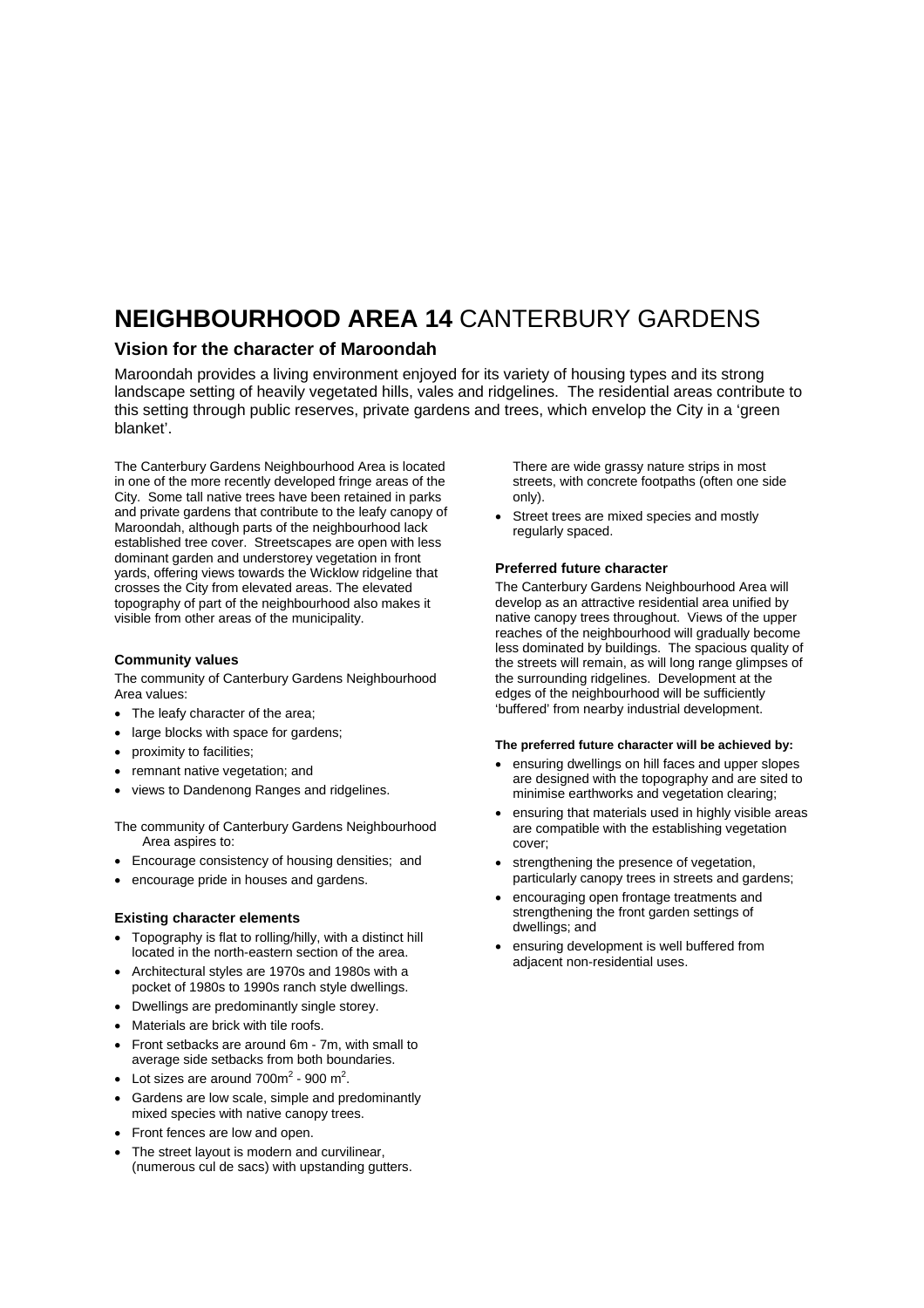# **NEIGHBOURHOOD AREA 14** CANTERBURY GARDENS

### **Vision for the character of Maroondah**

Maroondah provides a living environment enjoyed for its variety of housing types and its strong landscape setting of heavily vegetated hills, vales and ridgelines. The residential areas contribute to this setting through public reserves, private gardens and trees, which envelop the City in a 'green blanket'.

The Canterbury Gardens Neighbourhood Area is located in one of the more recently developed fringe areas of the City. Some tall native trees have been retained in parks and private gardens that contribute to the leafy canopy of Maroondah, although parts of the neighbourhood lack established tree cover. Streetscapes are open with less dominant garden and understorey vegetation in front yards, offering views towards the Wicklow ridgeline that crosses the City from elevated areas. The elevated topography of part of the neighbourhood also makes it visible from other areas of the municipality.

#### **Community values**

The community of Canterbury Gardens Neighbourhood Area values:

- The leafy character of the area:
- large blocks with space for gardens;
- proximity to facilities;
- remnant native vegetation; and
- views to Dandenong Ranges and ridgelines.

The community of Canterbury Gardens Neighbourhood Area aspires to:

- Encourage consistency of housing densities; and
- encourage pride in houses and gardens.

#### **Existing character elements**

- Topography is flat to rolling/hilly, with a distinct hill located in the north-eastern section of the area.
- Architectural styles are 1970s and 1980s with a pocket of 1980s to 1990s ranch style dwellings.
- Dwellings are predominantly single storey.
- Materials are brick with tile roofs.
- Front setbacks are around 6m 7m, with small to average side setbacks from both boundaries.
- Lot sizes are around  $700m^2$  900 m<sup>2</sup>.
- Gardens are low scale, simple and predominantly mixed species with native canopy trees.
- Front fences are low and open.
- The street layout is modern and curvilinear. (numerous cul de sacs) with upstanding gutters.

There are wide grassy nature strips in most streets, with concrete footpaths (often one side only).

Street trees are mixed species and mostly regularly spaced.

#### **Preferred future character**

The Canterbury Gardens Neighbourhood Area will develop as an attractive residential area unified by native canopy trees throughout. Views of the upper reaches of the neighbourhood will gradually become less dominated by buildings. The spacious quality of the streets will remain, as will long range glimpses of the surrounding ridgelines. Development at the edges of the neighbourhood will be sufficiently 'buffered' from nearby industrial development.

#### **The preferred future character will be achieved by:**

- ensuring dwellings on hill faces and upper slopes are designed with the topography and are sited to minimise earthworks and vegetation clearing;
- ensuring that materials used in highly visible areas are compatible with the establishing vegetation cover;
- strengthening the presence of vegetation, particularly canopy trees in streets and gardens;
- encouraging open frontage treatments and strengthening the front garden settings of dwellings; and
- ensuring development is well buffered from adjacent non-residential uses.